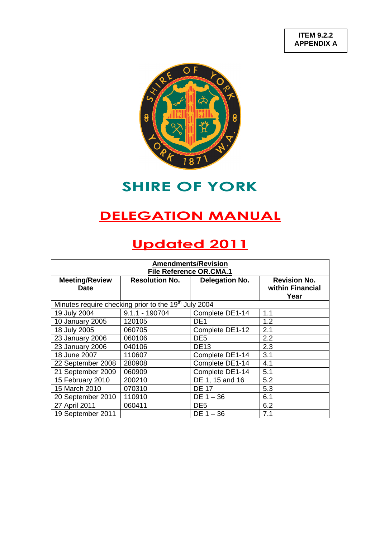

# **SHIRE OF YORK**

# **DELEGATION MANUAL**

# **Updated 2011**

| <b>Amendments/Revision</b><br><b>File Reference OR.CMA.1</b>     |                       |                 |                                                 |  |  |
|------------------------------------------------------------------|-----------------------|-----------------|-------------------------------------------------|--|--|
| <b>Meeting/Review</b><br><b>Date</b>                             | <b>Resolution No.</b> | Delegation No.  | <b>Revision No.</b><br>within Financial<br>Year |  |  |
| Minutes require checking prior to the 19 <sup>th</sup> July 2004 |                       |                 |                                                 |  |  |
| 19 July 2004                                                     | $9.1.1 - 190704$      | Complete DE1-14 | 1.1                                             |  |  |
| 10 January 2005                                                  | 120105                | DE <sub>1</sub> | 1.2                                             |  |  |
| 18 July 2005                                                     | 060705                | Complete DE1-12 | 2.1                                             |  |  |
| 23 January 2006                                                  | 060106                | DE <sub>5</sub> | 2.2                                             |  |  |
| 23 January 2006                                                  | 040106                | <b>DE13</b>     | 2.3                                             |  |  |
| 18 June 2007                                                     | 110607                | Complete DE1-14 | 3.1                                             |  |  |
| 22 September 2008                                                | 280908                | Complete DE1-14 | 4.1                                             |  |  |
| 21 September 2009                                                | 060909                | Complete DE1-14 | 5.1                                             |  |  |
| 15 February 2010                                                 | 200210                | DE 1, 15 and 16 | 5.2                                             |  |  |
| 15 March 2010                                                    | 070310                | <b>DE 17</b>    | 5.3                                             |  |  |
| 20 September 2010                                                | 110910                | $DE 1 - 36$     | 6.1                                             |  |  |
| 27 April 2011                                                    | 060411                | DE <sub>5</sub> | 6.2                                             |  |  |
| 19 September 2011                                                |                       | $DE 1 - 36$     | 7.1                                             |  |  |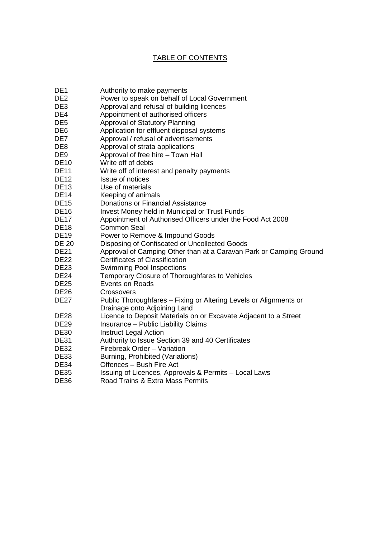# TABLE OF CONTENTS

- DE1 Authority to make payments
- DE2 Power to speak on behalf of Local Government
- DE3 Approval and refusal of building licences
- DE4 Appointment of authorised officers
- DE5 Approval of Statutory Planning
- DE6 Application for effluent disposal systems
- DE7 Approval / refusal of advertisements
- DE8 Approval of strata applications
- DE9 Approval of free hire Town Hall
- DE10 Write off of debts
- DE11 Write off of interest and penalty payments
- DE12 **Issue of notices**
- DE13 Use of materials
- DE14 Keeping of animals
- DE15 Donations or Financial Assistance
- DE16 Invest Money held in Municipal or Trust Funds
- DE17 Appointment of Authorised Officers under the Food Act 2008
- DE18 Common Seal
- DE19 Power to Remove & Impound Goods
- DE 20 Disposing of Confiscated or Uncollected Goods
- DE21 Approval of Camping Other than at a Caravan Park or Camping Ground
- DE22 Certificates of Classification
- DE23 Swimming Pool Inspections
- DE24 Temporary Closure of Thoroughfares to Vehicles
- DE25 Events on Roads
- DE26 Crossovers
- DE27 Public Thoroughfares Fixing or Altering Levels or Alignments or Drainage onto Adjoining Land
- DE28 Licence to Deposit Materials on or Excavate Adjacent to a Street
- DE29 Insurance Public Liability Claims<br>DE30 Instruct Legal Action
- **Instruct Legal Action**
- DE31 Authority to Issue Section 39 and 40 Certificates
- DE32 Firebreak Order Variation
- DE33 Burning, Prohibited (Variations)
- DE34 Offences Bush Fire Act
- DE35 Issuing of Licences, Approvals & Permits Local Laws<br>DE36 Road Trains & Extra Mass Permits
- Road Trains & Extra Mass Permits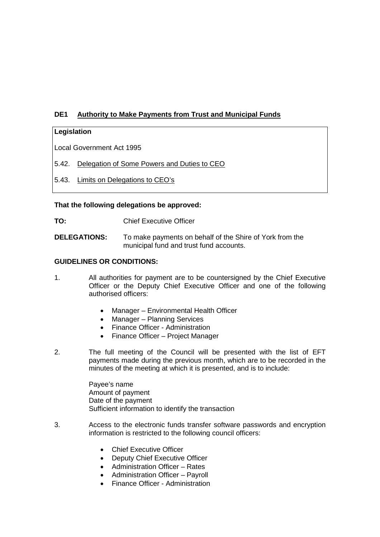# **DE1 Authority to Make Payments from Trust and Municipal Funds**

## **Legislation**

Local Government Act 1995

- 5.42. Delegation of Some Powers and Duties to CEO
- 5.43. Limits on Delegations to CEO's

#### **That the following delegations be approved:**

**TO:** Chief Executive Officer

**DELEGATIONS:** To make payments on behalf of the Shire of York from the municipal fund and trust fund accounts.

#### **GUIDELINES OR CONDITIONS:**

- 1. All authorities for payment are to be countersigned by the Chief Executive Officer or the Deputy Chief Executive Officer and one of the following authorised officers:
	- Manager Environmental Health Officer
	- Manager Planning Services
	- Finance Officer Administration
	- Finance Officer Project Manager
- 2. The full meeting of the Council will be presented with the list of EFT payments made during the previous month, which are to be recorded in the minutes of the meeting at which it is presented, and is to include:

Payee's name Amount of payment Date of the payment Sufficient information to identify the transaction

- 3. Access to the electronic funds transfer software passwords and encryption information is restricted to the following council officers:
	- Chief Executive Officer
	- Deputy Chief Executive Officer
	- Administration Officer Rates
	- Administration Officer Payroll
	- Finance Officer Administration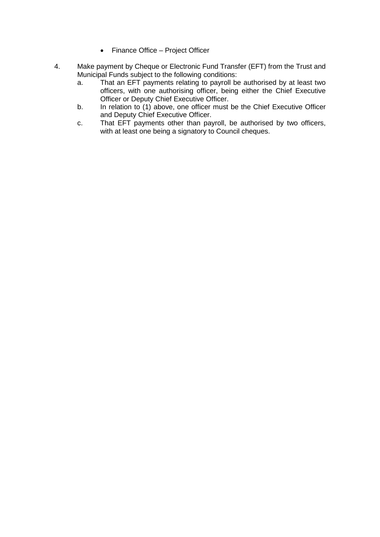- Finance Office Project Officer
- 4. Make payment by Cheque or Electronic Fund Transfer (EFT) from the Trust and Municipal Funds subject to the following conditions:
	- a. That an EFT payments relating to payroll be authorised by at least two officers, with one authorising officer, being either the Chief Executive Officer or Deputy Chief Executive Officer.
	- b. In relation to (1) above, one officer must be the Chief Executive Officer and Deputy Chief Executive Officer.
	- c. That EFT payments other than payroll, be authorised by two officers, with at least one being a signatory to Council cheques.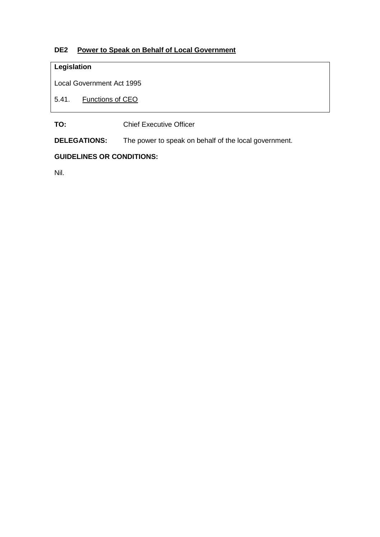# **DE2 Power to Speak on Behalf of Local Government**

# **Legislation**

Local Government Act 1995

5.41. Functions of CEO

**TO:** Chief Executive Officer

**DELEGATIONS:** The power to speak on behalf of the local government.

## **GUIDELINES OR CONDITIONS:**

Nil.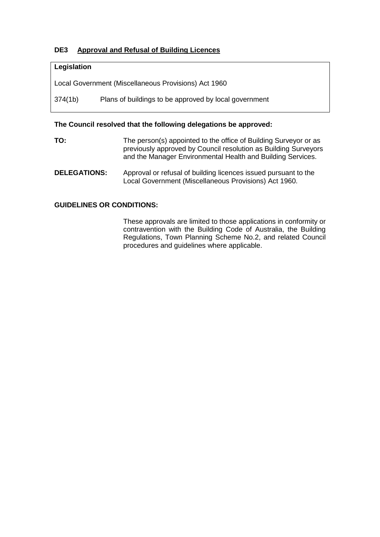# **DE3 Approval and Refusal of Building Licences**

#### **Legislation**

Local Government (Miscellaneous Provisions) Act 1960

374(1b) Plans of buildings to be approved by local government

#### **The Council resolved that the following delegations be approved:**

- **TO:** The person(s) appointed to the office of Building Surveyor or as previously approved by Council resolution as Building Surveyors and the Manager Environmental Health and Building Services.
- **DELEGATIONS:** Approval or refusal of building licences issued pursuant to the Local Government (Miscellaneous Provisions) Act 1960.

#### **GUIDELINES OR CONDITIONS:**

These approvals are limited to those applications in conformity or contravention with the Building Code of Australia, the Building Regulations, Town Planning Scheme No.2, and related Council procedures and guidelines where applicable.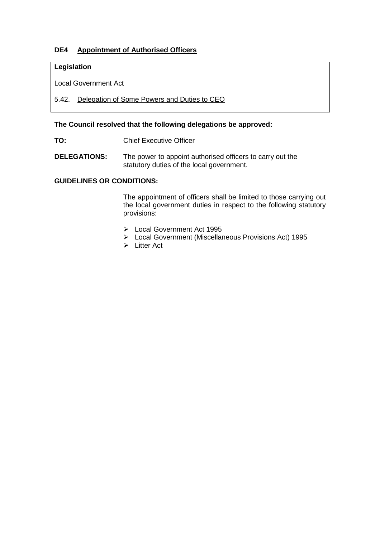# **DE4 Appointment of Authorised Officers**

## **Legislation**

Local Government Act

# 5.42. Delegation of Some Powers and Duties to CEO

#### **The Council resolved that the following delegations be approved:**

**TO:** Chief Executive Officer

**DELEGATIONS:** The power to appoint authorised officers to carry out the statutory duties of the local government.

# **GUIDELINES OR CONDITIONS:**

The appointment of officers shall be limited to those carrying out the local government duties in respect to the following statutory provisions:

- Local Government Act 1995
- Local Government (Miscellaneous Provisions Act) 1995
- $\triangleright$  Litter Act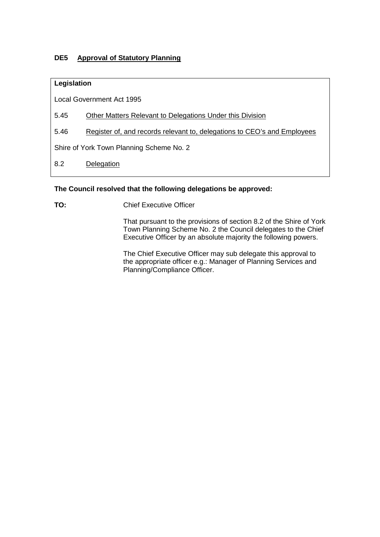# **DE5 Approval of Statutory Planning**

## **Legislation**

Local Government Act 1995

- 5.45 Other Matters Relevant to Delegations Under this Division
- 5.46 Register of, and records relevant to, delegations to CEO's and Employees

Shire of York Town Planning Scheme No. 2

8.2 Delegation

## **The Council resolved that the following delegations be approved:**

**TO:** Chief Executive Officer

That pursuant to the provisions of section 8.2 of the Shire of York Town Planning Scheme No. 2 the Council delegates to the Chief Executive Officer by an absolute majority the following powers.

The Chief Executive Officer may sub delegate this approval to the appropriate officer e.g.: Manager of Planning Services and Planning/Compliance Officer.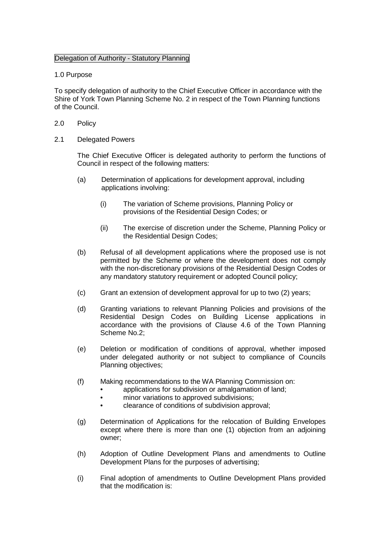#### Delegation of Authority - Statutory Planning

#### 1.0 Purpose

To specify delegation of authority to the Chief Executive Officer in accordance with the Shire of York Town Planning Scheme No. 2 in respect of the Town Planning functions of the Council.

- 2.0 Policy
- 2.1 Delegated Powers

The Chief Executive Officer is delegated authority to perform the functions of Council in respect of the following matters:

- (a) Determination of applications for development approval, including applications involving:
	- (i) The variation of Scheme provisions, Planning Policy or provisions of the Residential Design Codes; or
	- (ii) The exercise of discretion under the Scheme, Planning Policy or the Residential Design Codes;
- (b) Refusal of all development applications where the proposed use is not permitted by the Scheme or where the development does not comply with the non-discretionary provisions of the Residential Design Codes or any mandatory statutory requirement or adopted Council policy;
- (c) Grant an extension of development approval for up to two (2) years;
- (d) Granting variations to relevant Planning Policies and provisions of the Residential Design Codes on Building License applications in accordance with the provisions of Clause 4.6 of the Town Planning Scheme No.2;
- (e) Deletion or modification of conditions of approval, whether imposed under delegated authority or not subject to compliance of Councils Planning objectives;
- (f) Making recommendations to the WA Planning Commission on:
	- applications for subdivision or amalgamation of land:
		- minor variations to approved subdivisions:
		- clearance of conditions of subdivision approval;
- (g) Determination of Applications for the relocation of Building Envelopes except where there is more than one (1) objection from an adjoining owner;
- (h) Adoption of Outline Development Plans and amendments to Outline Development Plans for the purposes of advertising;
- (i) Final adoption of amendments to Outline Development Plans provided that the modification is: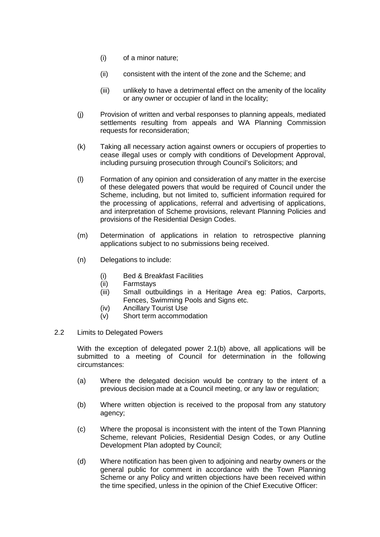- (i) of a minor nature;
- (ii) consistent with the intent of the zone and the Scheme; and
- (iii) unlikely to have a detrimental effect on the amenity of the locality or any owner or occupier of land in the locality;
- (j) Provision of written and verbal responses to planning appeals, mediated settlements resulting from appeals and WA Planning Commission requests for reconsideration;
- (k) Taking all necessary action against owners or occupiers of properties to cease illegal uses or comply with conditions of Development Approval, including pursuing prosecution through Council's Solicitors; and
- (l) Formation of any opinion and consideration of any matter in the exercise of these delegated powers that would be required of Council under the Scheme, including, but not limited to, sufficient information required for the processing of applications, referral and advertising of applications, and interpretation of Scheme provisions, relevant Planning Policies and provisions of the Residential Design Codes.
- (m) Determination of applications in relation to retrospective planning applications subject to no submissions being received.
- (n) Delegations to include:
	- (i) Bed & Breakfast Facilities
	- (ii) Farmstays
	- (iii) Small outbuildings in a Heritage Area eg: Patios, Carports, Fences, Swimming Pools and Signs etc.
	- (iv) Ancillary Tourist Use
	- (v) Short term accommodation
- 2.2 Limits to Delegated Powers

With the exception of delegated power 2.1(b) above, all applications will be submitted to a meeting of Council for determination in the following circumstances:

- (a) Where the delegated decision would be contrary to the intent of a previous decision made at a Council meeting, or any law or regulation;
- (b) Where written objection is received to the proposal from any statutory agency;
- (c) Where the proposal is inconsistent with the intent of the Town Planning Scheme, relevant Policies, Residential Design Codes, or any Outline Development Plan adopted by Council;
- (d) Where notification has been given to adjoining and nearby owners or the general public for comment in accordance with the Town Planning Scheme or any Policy and written objections have been received within the time specified, unless in the opinion of the Chief Executive Officer: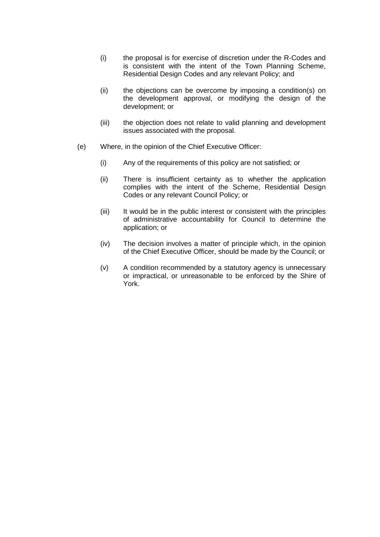- (i) the proposal is for exercise of discretion under the R-Codes and is consistent with the intent of the Town Planning Scheme, Residential Design Codes and any relevant Policy; and
- (ii) the objections can be overcome by imposing a condition(s) on the development approval, or modifying the design of the development; or
- (iii) the objection does not relate to valid planning and development issues associated with the proposal.
- (e) Where, in the opinion of the Chief Executive Officer:
	- (i) Any of the requirements of this policy are not satisfied; or
	- (ii) There is insufficient certainty as to whether the application complies with the intent of the Scheme, Residential Design Codes or any relevant Council Policy; or
	- (iii) It would be in the public interest or consistent with the principles of administrative accountability for Council to determine the application; or
	- (iv) The decision involves a matter of principle which, in the opinion of the Chief Executive Officer, should be made by the Council; or
	- (v) A condition recommended by a statutory agency is unnecessary or impractical, or unreasonable to be enforced by the Shire of York.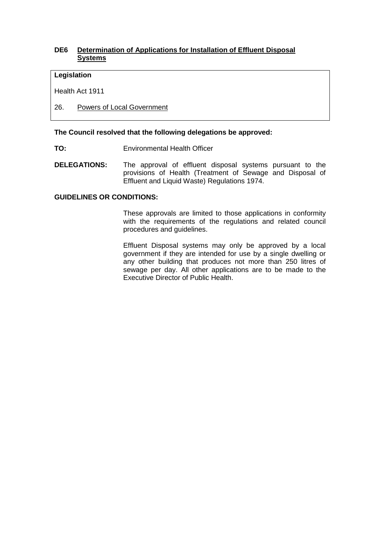## **DE6 Determination of Applications for Installation of Effluent Disposal Systems**

#### **Legislation**

Health Act 1911

26. Powers of Local Government

#### **The Council resolved that the following delegations be approved:**

- **TO:** Environmental Health Officer
- **DELEGATIONS:** The approval of effluent disposal systems pursuant to the provisions of Health (Treatment of Sewage and Disposal of Effluent and Liquid Waste) Regulations 1974.

#### **GUIDELINES OR CONDITIONS:**

These approvals are limited to those applications in conformity with the requirements of the regulations and related council procedures and guidelines.

Effluent Disposal systems may only be approved by a local government if they are intended for use by a single dwelling or any other building that produces not more than 250 litres of sewage per day. All other applications are to be made to the Executive Director of Public Health.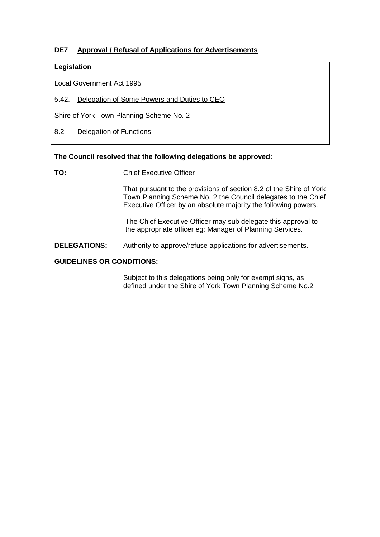# **DE7 Approval / Refusal of Applications for Advertisements**

## **Legislation**

Local Government Act 1995

5.42. Delegation of Some Powers and Duties to CEO

Shire of York Town Planning Scheme No. 2

8.2 Delegation of Functions

#### **The Council resolved that the following delegations be approved:**

**TO:** Chief Executive Officer

That pursuant to the provisions of section 8.2 of the Shire of York Town Planning Scheme No. 2 the Council delegates to the Chief Executive Officer by an absolute majority the following powers.

The Chief Executive Officer may sub delegate this approval to the appropriate officer eg: Manager of Planning Services.

#### **DELEGATIONS:** Authority to approve/refuse applications for advertisements.

#### **GUIDELINES OR CONDITIONS:**

Subject to this delegations being only for exempt signs, as defined under the Shire of York Town Planning Scheme No.2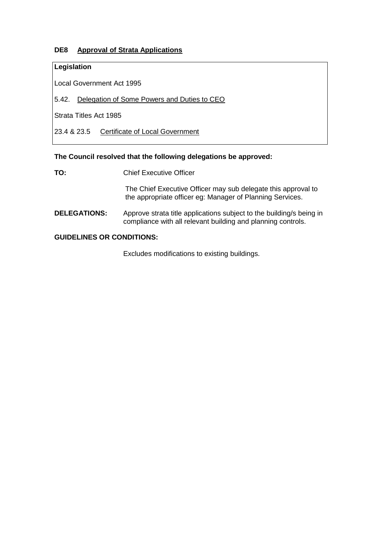# **DE8 Approval of Strata Applications**

## **Legislation**

Local Government Act 1995

5.42. Delegation of Some Powers and Duties to CEO

Strata Titles Act 1985

23.4 & 23.5 Certificate of Local Government

#### **The Council resolved that the following delegations be approved:**

**TO:** Chief Executive Officer

The Chief Executive Officer may sub delegate this approval to the appropriate officer eg: Manager of Planning Services.

**DELEGATIONS:** Approve strata title applications subject to the building/s being in compliance with all relevant building and planning controls.

#### **GUIDELINES OR CONDITIONS:**

Excludes modifications to existing buildings.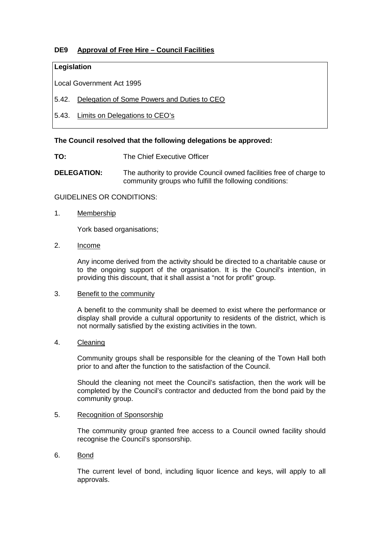# **DE9 Approval of Free Hire – Council Facilities**

#### **Legislation**

Local Government Act 1995

- 5.42. Delegation of Some Powers and Duties to CEO
- 5.43. Limits on Delegations to CEO's

#### **The Council resolved that the following delegations be approved:**

- **TO:** The Chief Executive Officer
- **DELEGATION:** The authority to provide Council owned facilities free of charge to community groups who fulfill the following conditions:

#### GUIDELINES OR CONDITIONS:

1. Membership

York based organisations;

2. Income

Any income derived from the activity should be directed to a charitable cause or to the ongoing support of the organisation. It is the Council's intention, in providing this discount, that it shall assist a "not for profit" group.

#### 3. Benefit to the community

A benefit to the community shall be deemed to exist where the performance or display shall provide a cultural opportunity to residents of the district, which is not normally satisfied by the existing activities in the town.

#### 4. Cleaning

Community groups shall be responsible for the cleaning of the Town Hall both prior to and after the function to the satisfaction of the Council.

Should the cleaning not meet the Council's satisfaction, then the work will be completed by the Council's contractor and deducted from the bond paid by the community group.

## 5. Recognition of Sponsorship

The community group granted free access to a Council owned facility should recognise the Council's sponsorship.

#### 6. Bond

The current level of bond, including liquor licence and keys, will apply to all approvals.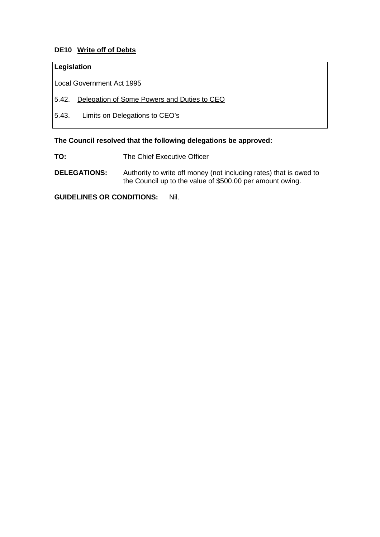# **DE10 Write off of Debts**

## **Legislation**

Local Government Act 1995

- 5.42. Delegation of Some Powers and Duties to CEO
- 5.43. Limits on Delegations to CEO's

#### **The Council resolved that the following delegations be approved:**

- **TO:** The Chief Executive Officer
- **DELEGATIONS:** Authority to write off money (not including rates) that is owed to the Council up to the value of \$500.00 per amount owing.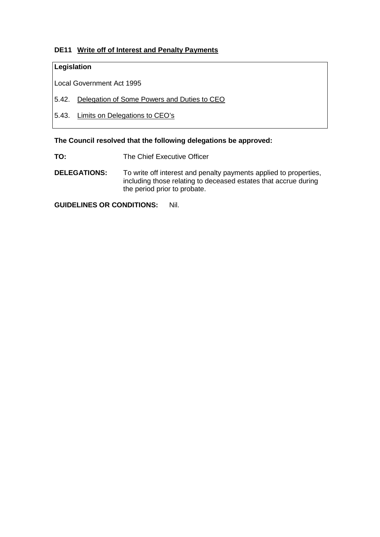# **DE11 Write off of Interest and Penalty Payments**

## **Legislation**

Local Government Act 1995

- 5.42. Delegation of Some Powers and Duties to CEO
- 5.43. Limits on Delegations to CEO's

## **The Council resolved that the following delegations be approved:**

- **TO:** The Chief Executive Officer
- **DELEGATIONS:** To write off interest and penalty payments applied to properties, including those relating to deceased estates that accrue during the period prior to probate.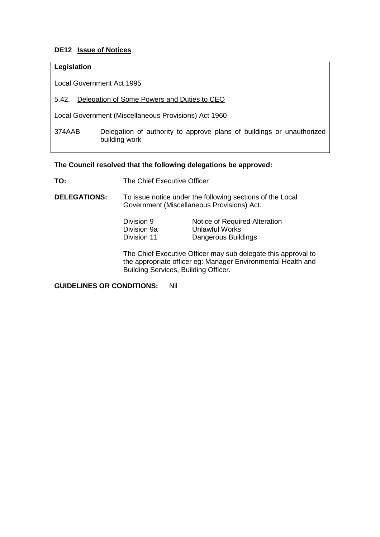# **DE12 Issue of Notices**

## **Legislation**

Local Government Act 1995

5.42. Delegation of Some Powers and Duties to CEO

Local Government (Miscellaneous Provisions) Act 1960

374AAB Delegation of authority to approve plans of buildings or unauthorized building work

#### **The Council resolved that the following delegations be approved:**

**TO:** The Chief Executive Officer

**DELEGATIONS:** To issue notice under the following sections of the Local Government (Miscellaneous Provisions) Act.

| Division 9  | Notice of Required Alteration |
|-------------|-------------------------------|
| Division 9a | Unlawful Works                |
| Division 11 | Dangerous Buildings           |

The Chief Executive Officer may sub delegate this approval to the appropriate officer eg: Manager Environmental Health and Building Services, Building Officer.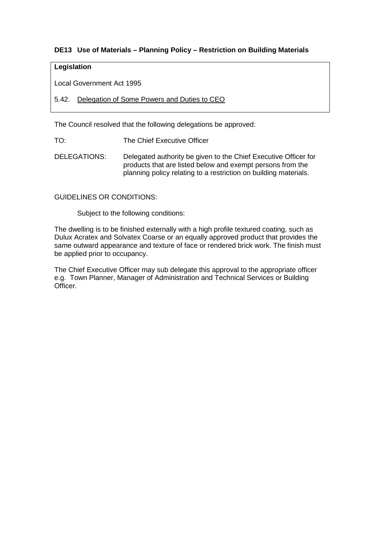# **DE13 Use of Materials – Planning Policy – Restriction on Building Materials**

## **Legislation**

Local Government Act 1995

5.42. Delegation of Some Powers and Duties to CEO

The Council resolved that the following delegations be approved:

TO: The Chief Executive Officer

DELEGATIONS: Delegated authority be given to the Chief Executive Officer for products that are listed below and exempt persons from the planning policy relating to a restriction on building materials.

#### GUIDELINES OR CONDITIONS:

Subject to the following conditions:

The dwelling is to be finished externally with a high profile textured coating, such as Dulux Acratex and Solvatex Coarse or an equally approved product that provides the same outward appearance and texture of face or rendered brick work. The finish must be applied prior to occupancy.

The Chief Executive Officer may sub delegate this approval to the appropriate officer e.g. Town Planner, Manager of Administration and Technical Services or Building Officer.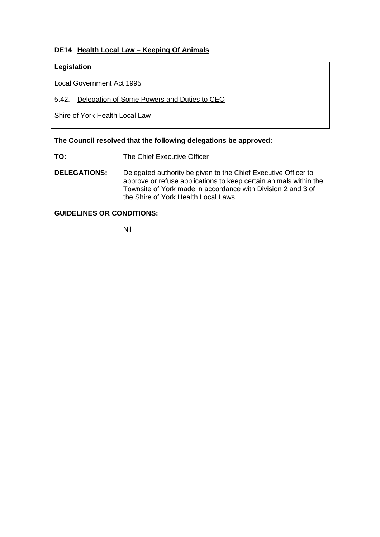# **DE14 Health Local Law – Keeping Of Animals**

## **Legislation**

Local Government Act 1995

5.42. Delegation of Some Powers and Duties to CEO

Shire of York Health Local Law

#### **The Council resolved that the following delegations be approved:**

- **TO:** The Chief Executive Officer
- **DELEGATIONS:** Delegated authority be given to the Chief Executive Officer to approve or refuse applications to keep certain animals within the Townsite of York made in accordance with Division 2 and 3 of the Shire of York Health Local Laws.

# **GUIDELINES OR CONDITIONS:**

Nil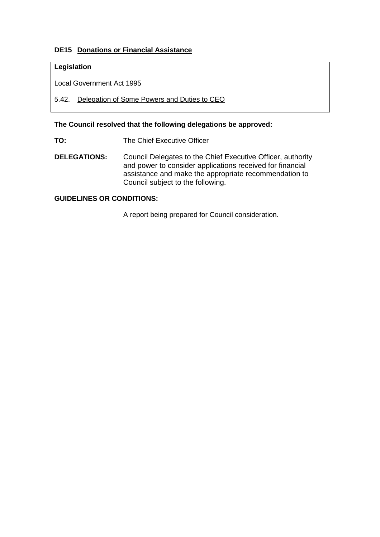# **DE15 Donations or Financial Assistance**

## **Legislation**

Local Government Act 1995

5.42. Delegation of Some Powers and Duties to CEO

**The Council resolved that the following delegations be approved:**

**TO:** The Chief Executive Officer

**DELEGATIONS:** Council Delegates to the Chief Executive Officer, authority and power to consider applications received for financial assistance and make the appropriate recommendation to Council subject to the following.

## **GUIDELINES OR CONDITIONS:**

A report being prepared for Council consideration.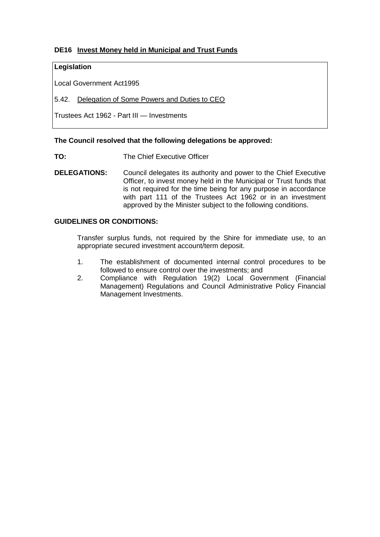# **DE16 Invest Money held in Municipal and Trust Funds**

## **Legislation**

Local Government Act1995

5.42. Delegation of Some Powers and Duties to CEO

Trustees Act 1962 - Part III — Investments

#### **The Council resolved that the following delegations be approved:**

**TO:** The Chief Executive Officer

**DELEGATIONS:** Council delegates its authority and power to the Chief Executive Officer, to invest money held in the Municipal or Trust funds that is not required for the time being for any purpose in accordance with part 111 of the Trustees Act 1962 or in an investment approved by the Minister subject to the following conditions.

#### **GUIDELINES OR CONDITIONS:**

Transfer surplus funds, not required by the Shire for immediate use, to an appropriate secured investment account/term deposit.

- 1. The establishment of documented internal control procedures to be followed to ensure control over the investments; and
- 2. Compliance with Regulation 19(2) Local Government (Financial Management) Regulations and Council Administrative Policy Financial Management Investments.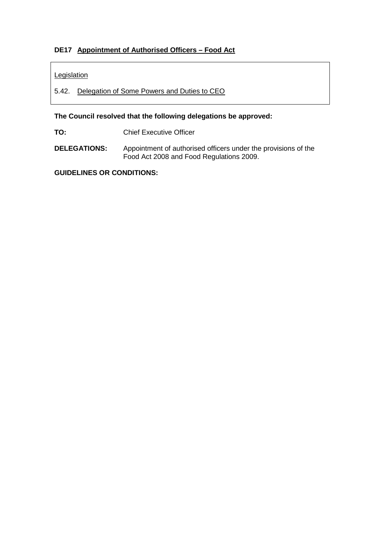# **DE17 Appointment of Authorised Officers – Food Act**

## **Legislation**

5.42. Delegation of Some Powers and Duties to CEO

**The Council resolved that the following delegations be approved:**

**TO:** Chief Executive Officer

**DELEGATIONS:** Appointment of authorised officers under the provisions of the Food Act 2008 and Food Regulations 2009.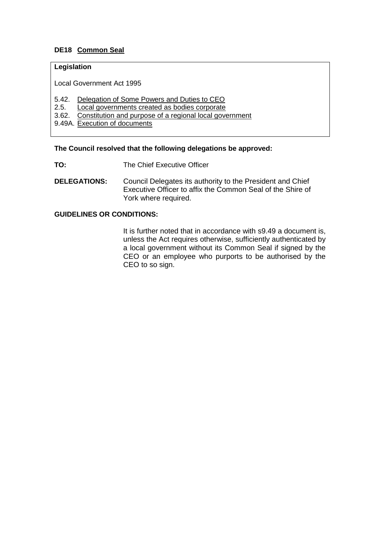# **DE18 Common Seal**

## **Legislation**

Local Government Act 1995

- 5.42. Delegation of Some Powers and Duties to CEO
- 2.5. Local governments created as bodies corporate
- 3.62. Constitution and purpose of a regional local government
- 9.49A. Execution of documents

#### **The Council resolved that the following delegations be approved:**

- **TO:** The Chief Executive Officer
- **DELEGATIONS:** Council Delegates its authority to the President and Chief Executive Officer to affix the Common Seal of the Shire of York where required.

## **GUIDELINES OR CONDITIONS:**

It is further noted that in accordance with s9.49 a document is, unless the Act requires otherwise, sufficiently authenticated by a local government without its Common Seal if signed by the CEO or an employee who purports to be authorised by the CEO to so sign.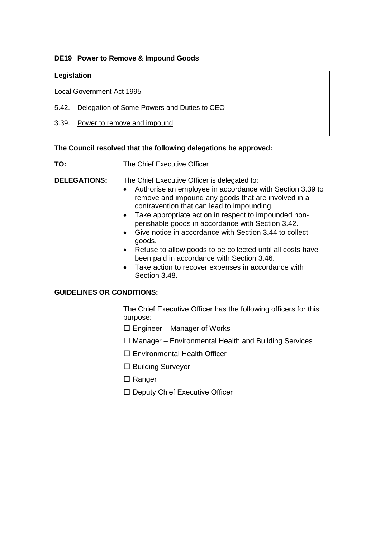# **DE19 Power to Remove & Impound Goods**

## **Legislation**

Local Government Act 1995

- 5.42. Delegation of Some Powers and Duties to CEO
- 3.39. Power to remove and impound

#### **The Council resolved that the following delegations be approved:**

**TO:** The Chief Executive Officer

**DELEGATIONS:** The Chief Executive Officer is delegated to:

- Authorise an employee in accordance with Section 3.39 to remove and impound any goods that are involved in a contravention that can lead to impounding.
- Take appropriate action in respect to impounded nonperishable goods in accordance with Section 3.42.
- Give notice in accordance with Section 3.44 to collect goods.
- Refuse to allow goods to be collected until all costs have been paid in accordance with Section 3.46.
- Take action to recover expenses in accordance with Section 3.48.

#### **GUIDELINES OR CONDITIONS:**

The Chief Executive Officer has the following officers for this purpose:

- $\Box$  Engineer Manager of Works
- $\Box$  Manager Environmental Health and Building Services
- Environmental Health Officer
- $\Box$  Building Surveyor
- □ Ranger
- $\Box$  Deputy Chief Executive Officer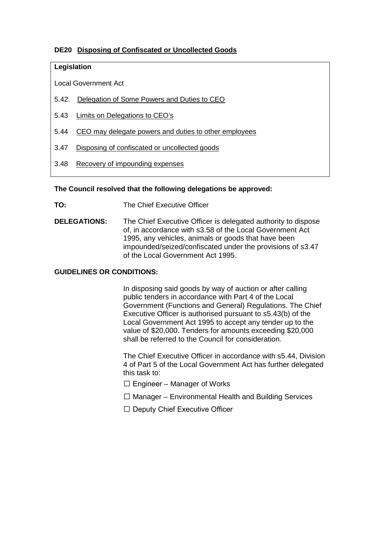# **DE20 Disposing of Confiscated or Uncollected Goods**

#### **Legislation**

Local Government Act

- 5.42. Delegation of Some Powers and Duties to CEO
- 5.43 Limits on Delegations to CEO's
- 5.44 CEO may delegate powers and duties to other employees
- 3.47 Disposing of confiscated or uncollected goods
- 3.48 Recovery of impounding expenses

#### **The Council resolved that the following delegations be approved:**

**TO:** The Chief Executive Officer

**DELEGATIONS:** The Chief Executive Officer is delegated authority to dispose of, in accordance with s3.58 of the Local Government Act 1995, any vehicles, animals or goods that have been impounded/seized/confiscated under the provisions of s3.47 of the Local Government Act 1995.

#### **GUIDELINES OR CONDITIONS:**

In disposing said goods by way of auction or after calling public tenders in accordance with Part 4 of the Local Government (Functions and General) Regulations. The Chief Executive Officer is authorised pursuant to s5.43(b) of the Local Government Act 1995 to accept any tender up to the value of \$20,000. Tenders for amounts exceeding \$20,000 shall be referred to the Council for consideration.

The Chief Executive Officer in accordance with s5.44, Division 4 of Part 5 of the Local Government Act has further delegated this task to:

- $\Box$  Engineer Manager of Works
- $\Box$  Manager Environmental Health and Building Services
- $\Box$  Deputy Chief Executive Officer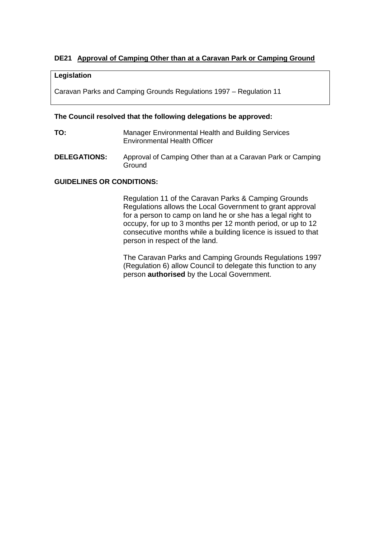# **DE21 Approval of Camping Other than at a Caravan Park or Camping Ground**

#### **Legislation**

Caravan Parks and Camping Grounds Regulations 1997 – Regulation 11

#### **The Council resolved that the following delegations be approved:**

- **TO:** Manager Environmental Health and Building Services Environmental Health Officer
- **DELEGATIONS:** Approval of Camping Other than at a Caravan Park or Camping **Ground**

#### **GUIDELINES OR CONDITIONS:**

Regulation 11 of the Caravan Parks & Camping Grounds Regulations allows the Local Government to grant approval for a person to camp on land he or she has a legal right to occupy, for up to 3 months per 12 month period, or up to 12 consecutive months while a building licence is issued to that person in respect of the land.

The Caravan Parks and Camping Grounds Regulations 1997 (Regulation 6) allow Council to delegate this function to any person **authorised** by the Local Government.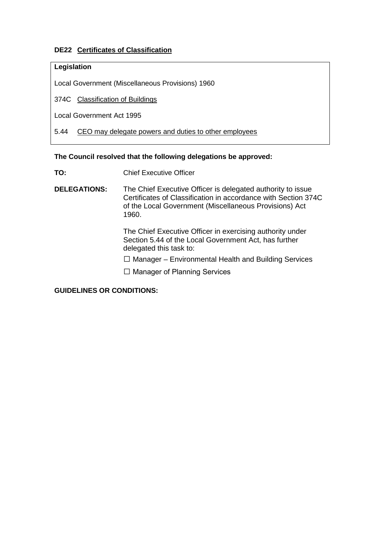# **DE22 Certificates of Classification**

## **Legislation**

Local Government (Miscellaneous Provisions) 1960

374C Classification of Buildings

Local Government Act 1995

5.44 CEO may delegate powers and duties to other employees

#### **The Council resolved that the following delegations be approved:**

**TO:** Chief Executive Officer

**DELEGATIONS:** The Chief Executive Officer is delegated authority to issue Certificates of Classification in accordance with Section 374C of the Local Government (Miscellaneous Provisions) Act 1960.

> The Chief Executive Officer in exercising authority under Section 5.44 of the Local Government Act, has further delegated this task to:

 $\Box$  Manager – Environmental Health and Building Services

 $\Box$  Manager of Planning Services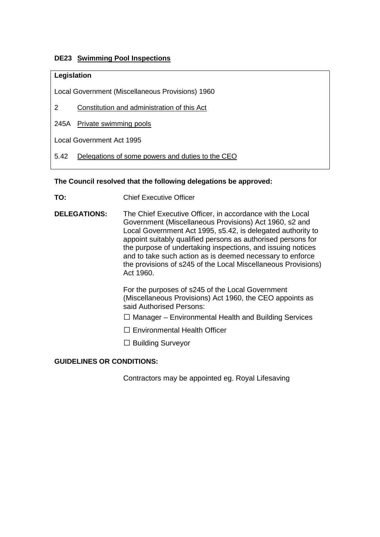# **DE23 Swimming Pool Inspections**

## **Legislation**

Local Government (Miscellaneous Provisions) 1960

- 2 Constitution and administration of this Act
- 245A Private swimming pools

Local Government Act 1995

5.42 Delegations of some powers and duties to the CEO

# **The Council resolved that the following delegations be approved:**

- **TO:** Chief Executive Officer
- **DELEGATIONS:** The Chief Executive Officer, in accordance with the Local Government (Miscellaneous Provisions) Act 1960, s2 and Local Government Act 1995, s5.42, is delegated authority to appoint suitably qualified persons as authorised persons for the purpose of undertaking inspections, and issuing notices and to take such action as is deemed necessary to enforce the provisions of s245 of the Local Miscellaneous Provisions) Act 1960.

For the purposes of s245 of the Local Government (Miscellaneous Provisions) Act 1960, the CEO appoints as said Authorised Persons:

- $\Box$  Manager Environmental Health and Building Services
- $\Box$  Environmental Health Officer
- $\Box$  Building Surveyor

# **GUIDELINES OR CONDITIONS:**

Contractors may be appointed eg. Royal Lifesaving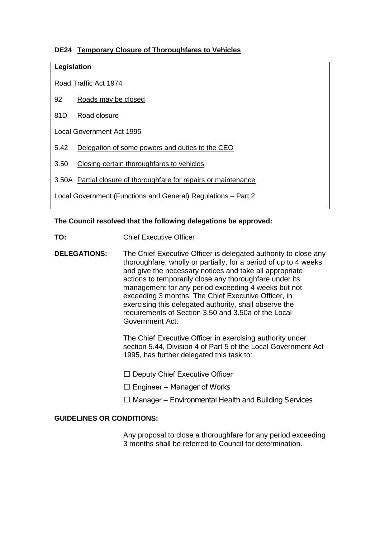# **DE24 Temporary Closure of Thoroughfares to Vehicles**

## **Legislation**

Road Traffic Act 1974

- 92 Roads may be closed
- 81D Road closure

Local Government Act 1995

- 5.42 Delegation of some powers and duties to the CEO
- 3.50 Closing certain thoroughfares to vehicles
- 3.50A Partial closure of thoroughfare for repairs or maintenance
- Local Government (Functions and General) Regulations Part 2

#### **The Council resolved that the following delegations be approved:**

- **TO:** Chief Executive Officer
- **DELEGATIONS:** The Chief Executive Officer is delegated authority to close any thoroughfare, wholly or partially, for a period of up to 4 weeks and give the necessary notices and take all appropriate actions to temporarily close any thoroughfare under its management for any period exceeding 4 weeks but not exceeding 3 months. The Chief Executive Officer, in exercising this delegated authority, shall observe the requirements of Section 3.50 and 3.50a of the Local Government Act.

The Chief Executive Officer in exercising authority under section 5.44, Division 4 of Part 5 of the Local Government Act 1995, has further delegated this task to:

- $\Box$  Deputy Chief Executive Officer
- $\Box$  Engineer Manager of Works
- $\Box$  Manager Environmental Health and Building Services

#### **GUIDELINES OR CONDITIONS:**

Any proposal to close a thoroughfare for any period exceeding 3 months shall be referred to Council for determination.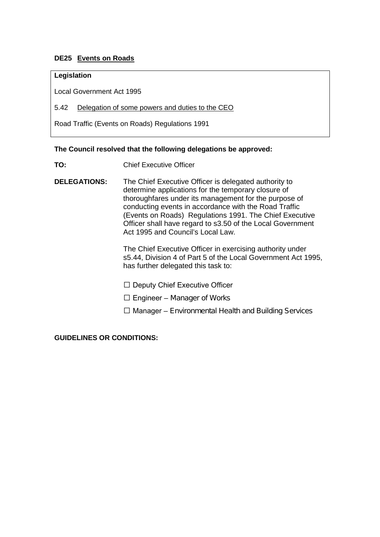# **DE25 Events on Roads**

#### **Legislation**

Local Government Act 1995

#### 5.42 Delegation of some powers and duties to the CEO

Road Traffic (Events on Roads) Regulations 1991

#### **The Council resolved that the following delegations be approved:**

**TO:** Chief Executive Officer

**DELEGATIONS:** The Chief Executive Officer is delegated authority to determine applications for the temporary closure of thoroughfares under its management for the purpose of conducting events in accordance with the Road Traffic (Events on Roads) Regulations 1991. The Chief Executive Officer shall have regard to s3.50 of the Local Government Act 1995 and Council's Local Law.

> The Chief Executive Officer in exercising authority under s5.44, Division 4 of Part 5 of the Local Government Act 1995, has further delegated this task to:

- $\Box$  Deputy Chief Executive Officer
- $\Box$  Engineer Manager of Works
- $\Box$  Manager Environmental Health and Building Services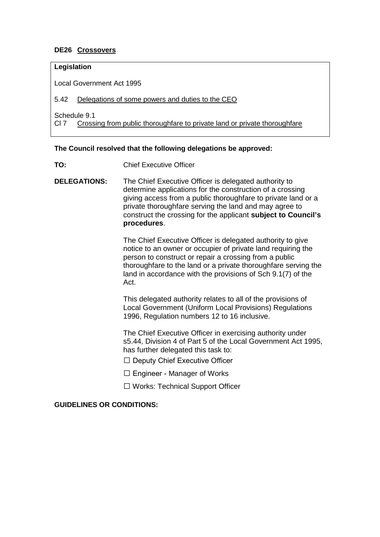# **DE26 Crossovers**

## **Legislation**

Local Government Act 1995

#### 5.42 Delegations of some powers and duties to the CEO

Schedule 9.1

Cl 7 Crossing from public thoroughfare to private land or private thoroughfare

#### **The Council resolved that the following delegations be approved:**

- **TO:** Chief Executive Officer
- **DELEGATIONS:** The Chief Executive Officer is delegated authority to determine applications for the construction of a crossing giving access from a public thoroughfare to private land or a private thoroughfare serving the land and may agree to construct the crossing for the applicant **subject to Council's procedures**.

The Chief Executive Officer is delegated authority to give notice to an owner or occupier of private land requiring the person to construct or repair a crossing from a public thoroughfare to the land or a private thoroughfare serving the land in accordance with the provisions of Sch 9.1(7) of the Act.

This delegated authority relates to all of the provisions of Local Government (Uniform Local Provisions) Regulations 1996, Regulation numbers 12 to 16 inclusive.

The Chief Executive Officer in exercising authority under s5.44, Division 4 of Part 5 of the Local Government Act 1995, has further delegated this task to:

- $\Box$  Deputy Chief Executive Officer
- $\Box$  Engineer Manager of Works
- $\Box$  Works: Technical Support Officer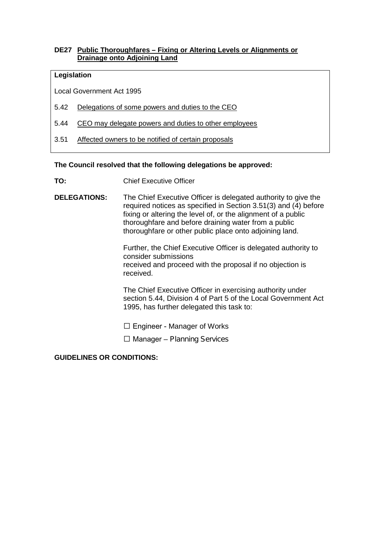## **DE27 Public Thoroughfares – Fixing or Altering Levels or Alignments or Drainage onto Adjoining Land**

#### **Legislation**

Local Government Act 1995

- 5.42 Delegations of some powers and duties to the CEO
- 5.44 CEO may delegate powers and duties to other employees
- 3.51 Affected owners to be notified of certain proposals

#### **The Council resolved that the following delegations be approved:**

- **TO:** Chief Executive Officer
- **DELEGATIONS:** The Chief Executive Officer is delegated authority to give the required notices as specified in Section 3.51(3) and (4) before fixing or altering the level of, or the alignment of a public thoroughfare and before draining water from a public thoroughfare or other public place onto adjoining land.

Further, the Chief Executive Officer is delegated authority to consider submissions received and proceed with the proposal if no objection is received.

The Chief Executive Officer in exercising authority under section 5.44, Division 4 of Part 5 of the Local Government Act 1995, has further delegated this task to:

 $\square$  Engineer - Manager of Works

 $\Box$  Manager – Planning Services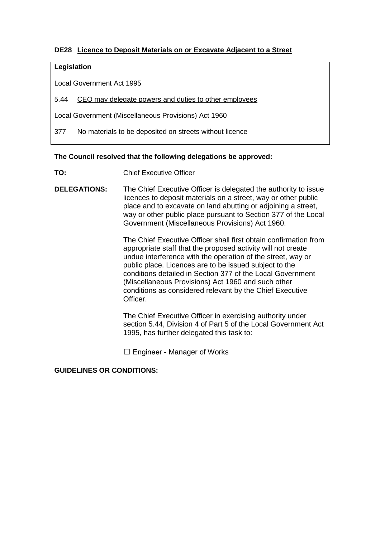# **DE28 Licence to Deposit Materials on or Excavate Adjacent to a Street**

## **Legislation**

Local Government Act 1995

5.44 CEO may delegate powers and duties to other employees

Local Government (Miscellaneous Provisions) Act 1960

377 No materials to be deposited on streets without licence

#### **The Council resolved that the following delegations be approved:**

- **TO:** Chief Executive Officer
- **DELEGATIONS:** The Chief Executive Officer is delegated the authority to issue licences to deposit materials on a street, way or other public place and to excavate on land abutting or adjoining a street, way or other public place pursuant to Section 377 of the Local Government (Miscellaneous Provisions) Act 1960.

The Chief Executive Officer shall first obtain confirmation from appropriate staff that the proposed activity will not create undue interference with the operation of the street, way or public place. Licences are to be issued subject to the conditions detailed in Section 377 of the Local Government (Miscellaneous Provisions) Act 1960 and such other conditions as considered relevant by the Chief Executive **Officer** 

The Chief Executive Officer in exercising authority under section 5.44, Division 4 of Part 5 of the Local Government Act 1995, has further delegated this task to:

□ Engineer - Manager of Works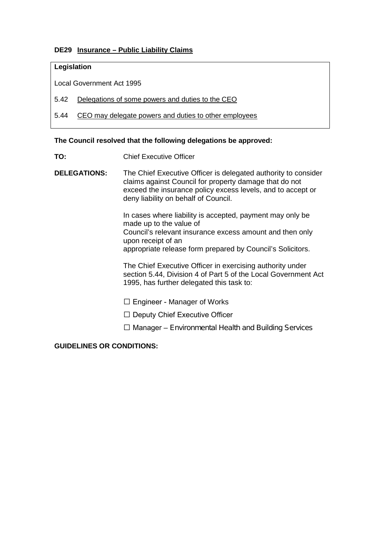## **DE29 Insurance – Public Liability Claims**

## **Legislation**

Local Government Act 1995

5.42 Delegations of some powers and duties to the CEO

5.44 CEO may delegate powers and duties to other employees

#### **The Council resolved that the following delegations be approved:**

**TO:** Chief Executive Officer

**DELEGATIONS:** The Chief Executive Officer is delegated authority to consider claims against Council for property damage that do not exceed the insurance policy excess levels, and to accept or deny liability on behalf of Council.

> In cases where liability is accepted, payment may only be made up to the value of Council's relevant insurance excess amount and then only upon receipt of an appropriate release form prepared by Council's Solicitors.

The Chief Executive Officer in exercising authority under section 5.44, Division 4 of Part 5 of the Local Government Act 1995, has further delegated this task to:

- $\square$  Engineer Manager of Works
- $\Box$  Deputy Chief Executive Officer
- $\Box$  Manager Environmental Health and Building Services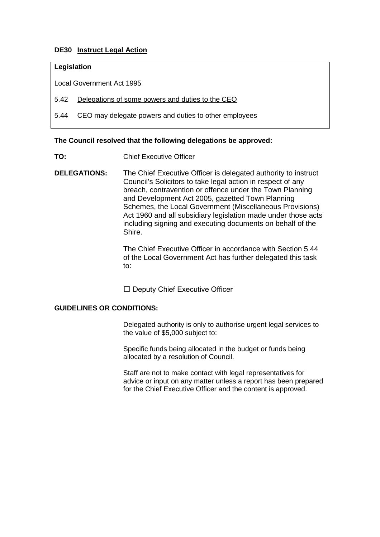## **DE30 Instruct Legal Action**

## **Legislation**

Local Government Act 1995

5.42 Delegations of some powers and duties to the CEO

5.44 CEO may delegate powers and duties to other employees

#### **The Council resolved that the following delegations be approved:**

- **TO:** Chief Executive Officer
- **DELEGATIONS:** The Chief Executive Officer is delegated authority to instruct Council's Solicitors to take legal action in respect of any breach, contravention or offence under the Town Planning and Development Act 2005, gazetted Town Planning Schemes, the Local Government (Miscellaneous Provisions) Act 1960 and all subsidiary legislation made under those acts including signing and executing documents on behalf of the Shire.

The Chief Executive Officer in accordance with Section 5.44 of the Local Government Act has further delegated this task to:

 $\Box$  Deputy Chief Executive Officer

#### **GUIDELINES OR CONDITIONS:**

Delegated authority is only to authorise urgent legal services to the value of \$5,000 subject to:

Specific funds being allocated in the budget or funds being allocated by a resolution of Council.

Staff are not to make contact with legal representatives for advice or input on any matter unless a report has been prepared for the Chief Executive Officer and the content is approved.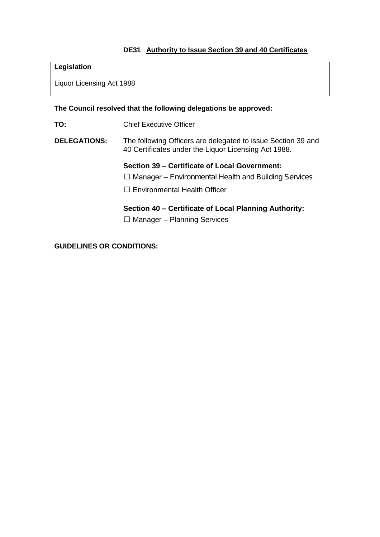# **DE31 Authority to Issue Section 39 and 40 Certificates**

# **Legislation**

Liquor Licensing Act 1988

#### **The Council resolved that the following delegations be approved:**

**TO:** Chief Executive Officer

## **DELEGATIONS:** The following Officers are delegated to issue Section 39 and 40 Certificates under the Liquor Licensing Act 1988.

**Section 39 – Certificate of Local Government:**

- $\Box$  Manager Environmental Health and Building Services
- $\square$  Environmental Health Officer

## **Section 40 – Certificate of Local Planning Authority:**

 $\Box$  Manager – Planning Services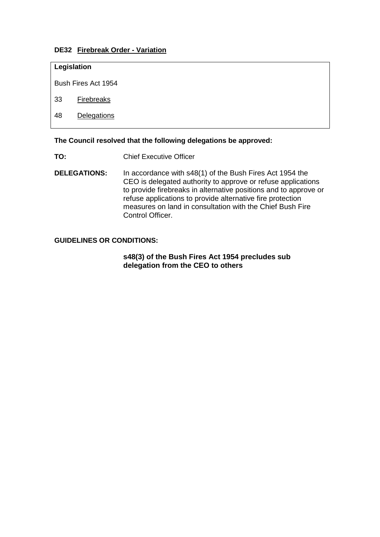## **DE32 Firebreak Order - Variation**

## **Legislation**

Bush Fires Act 1954

33 Firebreaks

48 Delegations

## **The Council resolved that the following delegations be approved:**

- **TO:** Chief Executive Officer
- **DELEGATIONS:** In accordance with s48(1) of the Bush Fires Act 1954 the CEO is delegated authority to approve or refuse applications to provide firebreaks in alternative positions and to approve or refuse applications to provide alternative fire protection measures on land in consultation with the Chief Bush Fire Control Officer.

#### **GUIDELINES OR CONDITIONS:**

#### **s48(3) of the Bush Fires Act 1954 precludes sub delegation from the CEO to others**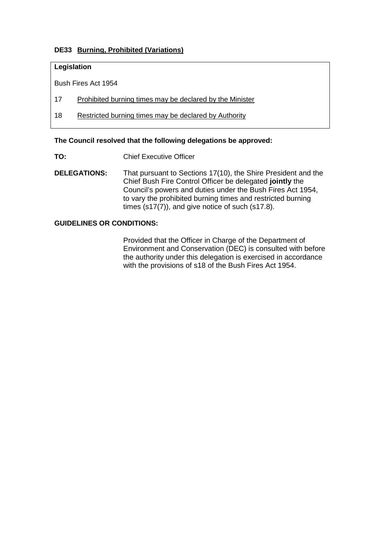# **DE33 Burning, Prohibited (Variations)**

## **Legislation**

Bush Fires Act 1954

- 17 Prohibited burning times may be declared by the Minister
- 18 Restricted burning times may be declared by Authority

#### **The Council resolved that the following delegations be approved:**

- **TO:** Chief Executive Officer
- **DELEGATIONS:** That pursuant to Sections 17(10), the Shire President and the Chief Bush Fire Control Officer be delegated **jointly** the Council's powers and duties under the Bush Fires Act 1954, to vary the prohibited burning times and restricted burning times (s17(7)), and give notice of such (s17.8).

## **GUIDELINES OR CONDITIONS:**

Provided that the Officer in Charge of the Department of Environment and Conservation (DEC) is consulted with before the authority under this delegation is exercised in accordance with the provisions of s18 of the Bush Fires Act 1954.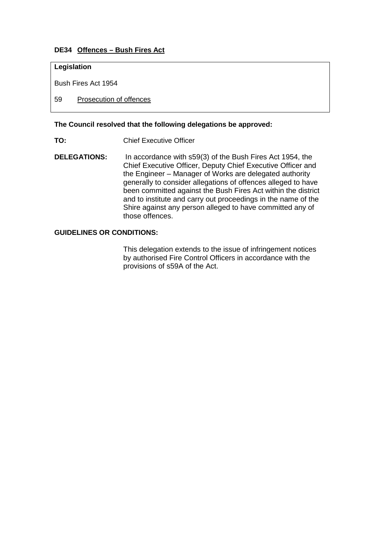# **DE34 Offences – Bush Fires Act**

## **Legislation**

Bush Fires Act 1954

59 Prosecution of offences

#### **The Council resolved that the following delegations be approved:**

- **TO:** Chief Executive Officer
- **DELEGATIONS:** In accordance with s59(3) of the Bush Fires Act 1954, the Chief Executive Officer, Deputy Chief Executive Officer and the Engineer – Manager of Works are delegated authority generally to consider allegations of offences alleged to have been committed against the Bush Fires Act within the district and to institute and carry out proceedings in the name of the Shire against any person alleged to have committed any of those offences.

#### **GUIDELINES OR CONDITIONS:**

This delegation extends to the issue of infringement notices by authorised Fire Control Officers in accordance with the provisions of s59A of the Act.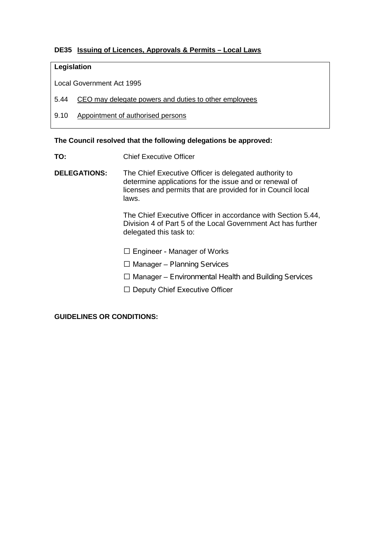# **DE35 Issuing of Licences, Approvals & Permits – Local Laws**

## **Legislation**

Local Government Act 1995

- 5.44 CEO may delegate powers and duties to other employees
- 9.10 Appointment of authorised persons

#### **The Council resolved that the following delegations be approved:**

- **TO:** Chief Executive Officer
- **DELEGATIONS:** The Chief Executive Officer is delegated authority to determine applications for the issue and or renewal of licenses and permits that are provided for in Council local laws.

The Chief Executive Officer in accordance with Section 5.44, Division 4 of Part 5 of the Local Government Act has further delegated this task to:

□ Engineer - Manager of Works

- $\Box$  Manager Planning Services
- $\Box$  Manager Environmental Health and Building Services
- $\Box$  Deputy Chief Executive Officer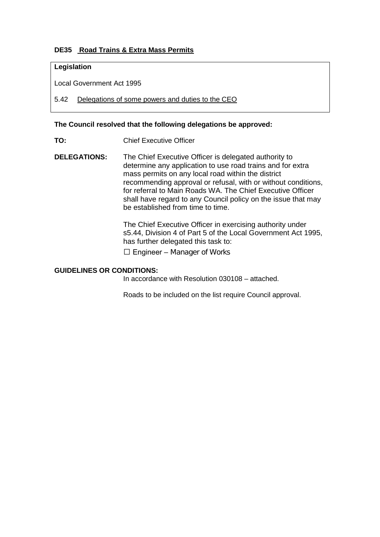# **DE35 Road Trains & Extra Mass Permits**

## **Legislation**

Local Government Act 1995

5.42 Delegations of some powers and duties to the CEO

#### **The Council resolved that the following delegations be approved:**

- **TO:** Chief Executive Officer
- **DELEGATIONS:** The Chief Executive Officer is delegated authority to determine any application to use road trains and for extra mass permits on any local road within the district recommending approval or refusal, with or without conditions, for referral to Main Roads WA. The Chief Executive Officer shall have regard to any Council policy on the issue that may be established from time to time.

The Chief Executive Officer in exercising authority under s5.44, Division 4 of Part 5 of the Local Government Act 1995, has further delegated this task to:

 $\square$  Engineer – Manager of Works

#### **GUIDELINES OR CONDITIONS:**

In accordance with Resolution 030108 – attached.

Roads to be included on the list require Council approval.